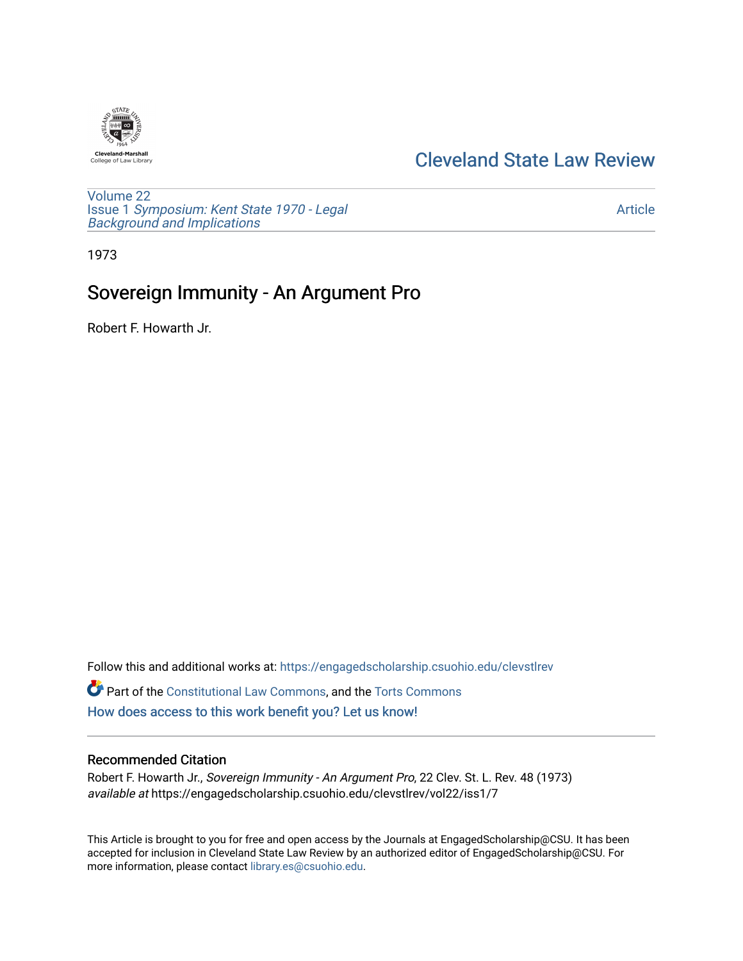

## [Cleveland State Law Review](https://engagedscholarship.csuohio.edu/clevstlrev)

[Volume 22](https://engagedscholarship.csuohio.edu/clevstlrev/vol22) Issue 1 [Symposium: Kent State 1970 - Legal](https://engagedscholarship.csuohio.edu/clevstlrev/vol22/iss1) [Background and Implications](https://engagedscholarship.csuohio.edu/clevstlrev/vol22/iss1)

[Article](https://engagedscholarship.csuohio.edu/clevstlrev/vol22/iss1/7) 

1973

# Sovereign Immunity - An Argument Pro

Robert F. Howarth Jr.

Follow this and additional works at: [https://engagedscholarship.csuohio.edu/clevstlrev](https://engagedscholarship.csuohio.edu/clevstlrev?utm_source=engagedscholarship.csuohio.edu%2Fclevstlrev%2Fvol22%2Fiss1%2F7&utm_medium=PDF&utm_campaign=PDFCoverPages) Part of the [Constitutional Law Commons,](http://network.bepress.com/hgg/discipline/589?utm_source=engagedscholarship.csuohio.edu%2Fclevstlrev%2Fvol22%2Fiss1%2F7&utm_medium=PDF&utm_campaign=PDFCoverPages) and the [Torts Commons](http://network.bepress.com/hgg/discipline/913?utm_source=engagedscholarship.csuohio.edu%2Fclevstlrev%2Fvol22%2Fiss1%2F7&utm_medium=PDF&utm_campaign=PDFCoverPages)  [How does access to this work benefit you? Let us know!](http://library.csuohio.edu/engaged/)

### Recommended Citation

Robert F. Howarth Jr., Sovereign Immunity - An Argument Pro, 22 Clev. St. L. Rev. 48 (1973) available at https://engagedscholarship.csuohio.edu/clevstlrev/vol22/iss1/7

This Article is brought to you for free and open access by the Journals at EngagedScholarship@CSU. It has been accepted for inclusion in Cleveland State Law Review by an authorized editor of EngagedScholarship@CSU. For more information, please contact [library.es@csuohio.edu](mailto:library.es@csuohio.edu).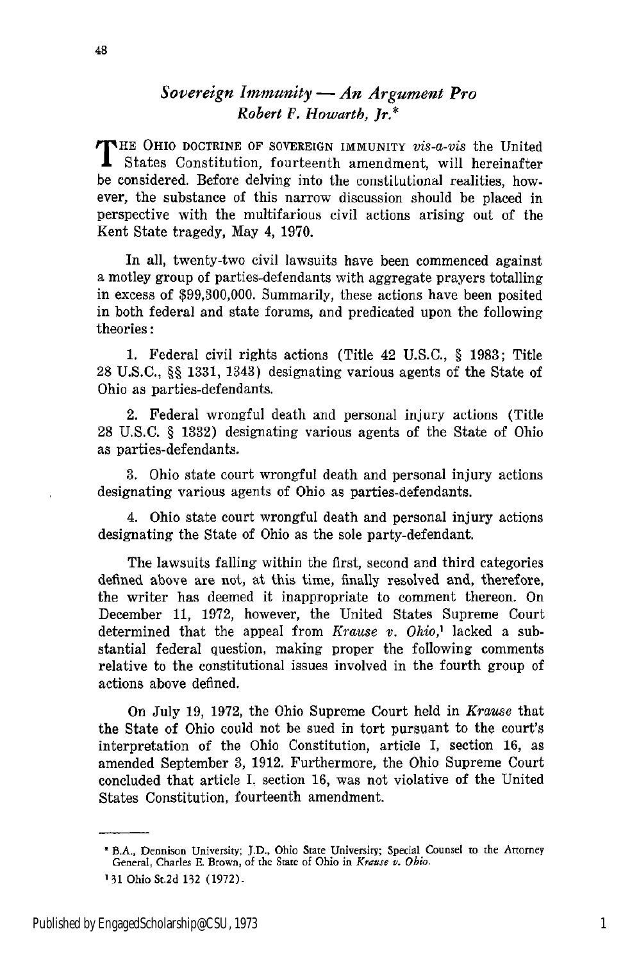### *Sovereign Immunity* **-** *An Argument Pro Robert F. Howartb, Jr.\**

f HE OHIO DOCTRINE OF SOVEREIGN IMMUNITY *vis-a-vis* the United States Constitution, fourteenth amendment, will hereinafter be considered. Before delving into the constitutional realities, however, the substance of this narrow discussion should be placed in perspective with the multifarious civil actions arising out of the Kent State tragedy, May 4, 1970.

In all, twenty-two civil lawsuits have been commenced against a motley group of parties-defendants with aggregate prayers totalling in excess of \$99,300,000. Summarily, these actions have been posited in both federal and state forums, and predicated upon the following theories:

1. Federal civil rights actions (Title 42 U.S.C., § 1983; Title 28 U.S.C., §§ 1331, 1343) designating various agents of the State of Ohio as parties-defendants.

2. Federal wrongful death and personal injury actions (Title 28 U.S.C. § 1332) designating various agents of the State of Ohio as parties-defendants.

3. Ohio state court wrongful death and personal injury actions designating various agents of Ohio as parties-defendants.

4. Ohio state court wrongful death and personal injury actions designating the State of Ohio as the sole party-defendant.

The lawsuits falling within the first, second and third categories defined above are not, at this time, finally resolved and, therefore, the writer has deemed it inappropriate to comment thereon. On December 11, 1972, however, the United States Supreme Court determined that the appeal from *Krause v. Ohio,'* lacked a substantial federal question, making proper the following comments relative to the constitutional issues involved in the fourth group of actions above defined.

On July 19, 1972, the Ohio Supreme Court held in *Krause* that the State of Ohio could not be sued in tort pursuant to the court's interpretation of the Ohio Constitution, article I, section 16, as amended September 3, 1912. Furthermore, the Ohio Supreme Court concluded that article I, section 16, was not violative of the United States Constitution, fourteenth amendment.

B.A., Dennison University; **J.D.,** Ohio State University; Special Counsel to the Attorney General, Charles **E.** Brown, of the State of Ohio in *Krause v. Ohio,*

**<sup>131</sup>** Ohio St.2d 132 (1972).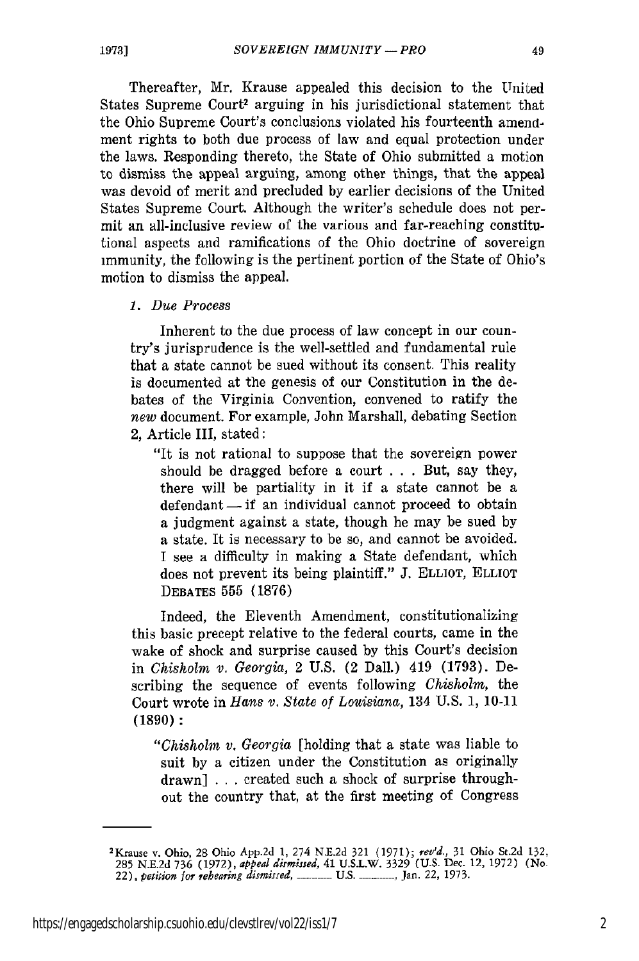Thereafter, Mr. Krause appealed this decision to the United States Supreme Court2 arguing in his jurisdictional statement that the Ohio Supreme Court's conclusions violated his fourteenth amendment rights to both due process of law and equal protection under the laws. Responding thereto, the State of Ohio submitted a motion to dismiss the appeal arguing, among other things, that the appeal was devoid of merit and precluded by earlier decisions of the United States Supreme Court. Although the writer's schedule does not permit an all-inclusive review of the various and far-reaching constitutional aspects and ramifications of the Ohio doctrine of sovereign immunity, the following is the pertinent portion of the State of Ohio's motion to dismiss the appeal.

*1. Due Process*

Inherent to the due process of law concept in our country's jurisprudence is the well-settled and fundamental rule that a state cannot be sued without its consent. This reality is documented at the genesis of our Constitution in the debates of the Virginia Convention, convened to ratify the *new* document. For example, John Marshall, debating Section 2, Article III, stated:

"It is not rational to suppose that the sovereign power should be dragged before a court . . . But, say they, there will be partiality in it if a state cannot be a  $defendant = if an individual cannot proceed to obtain$ a judgment against a state, though he may be sued by a state. It is necessary to be so, and cannot be avoided. I see a difficulty in making a State defendant, which does not prevent its being plaintiff." **J.** ELLIOT, ELLIOT DEBATES 555 (1876)

Indeed, the Eleventh Amendment, constitutionalizing this basic precept relative to the federal courts, came in the wake of shock and surprise caused by this Court's decision in *Chiskolm* v. *Georgia,* 2 U.S. (2 Dall.) 419 (1793). Describing the sequence of events following *Chisholm,* the Court wrote in *Hans v. State of Louisiana,* 134 U.S. **1,** 10-11 **(1890) :**

*"Chisholm* v. *Georgia* [holding that a state was liable to suit by a citizen under the Constitution as originally drawn] .. .created such a shock of surprise throughout the country that, at the first meeting of Congress

<sup>&</sup>lt;sup>2</sup> Krause v. Ohio, 28 Ohio App.2d 1, 274 N.E.2d 321 (1971); rev'd., 31 Ohio St.2d 132<br>285 N.E.2d 736 (1972), appeal dismissed, 41 U.S.I.W. 3329 (U.S. Dec. 12, 1972) (No<br>22), petition for rehearing dismissed, \_\_\_\_\_\_\_\_ U.S.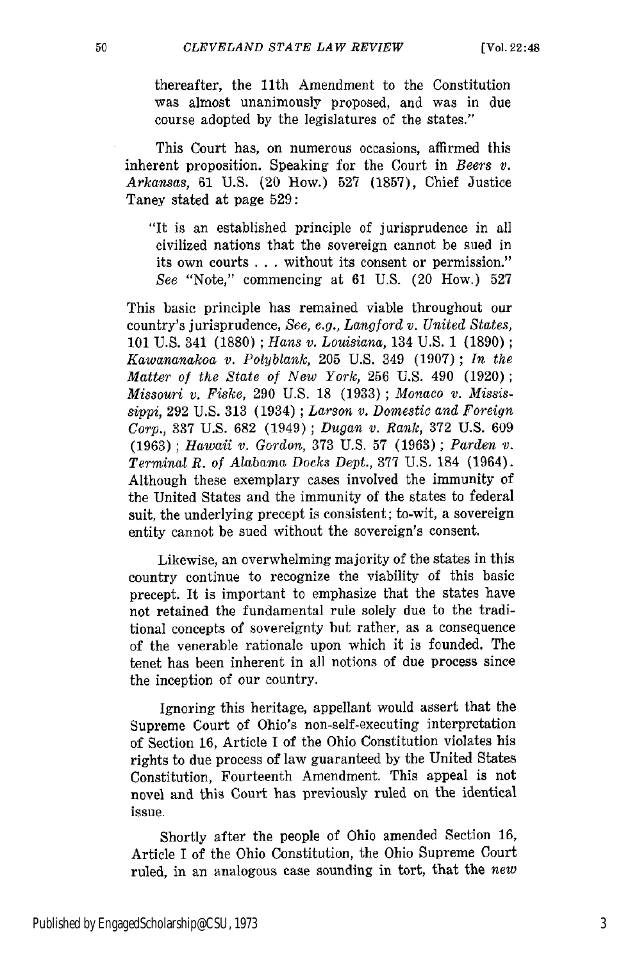thereafter, the 11th Amendment to the Constitution was almost unanimously proposed, and was in due course adopted **by** the legislatures of the states."

This Court has, on numerous occasions, affirmed this inherent proposition. Speaking for the Court in *Beers v. Arkansas,* **61 U.S.** (20 How.) **527 (1857),** Chief Justice Taney stated at page **529:**

"It is an established principle of jurisprudence in all civilized nations that the sovereign cannot be sued in its own courts **. . .** without its consent or permission." *See* "Note," commencing at **61 U.S.** (20 How.) **527**

This basic principle has remained viable throughout our country's jurisprudence, *See, e.g., Langford v. United States,* **101 U.S.** 341 **(1880) ;** *Hans v. Louisiana,* 134 **U.S. 1 (1890) ;** *Kawananakoa v. Polyblank,* **205 U.S.** 349 **(1907);** *In the Matter of the State of New York,* **256 U.S.** 490 **(1920);** *Missouri v. Fiske,* **290 U.S. 18 (1933) ;** *Monaco v. Mississippi,* **292 U.S. 313** (1934) **;** *Larson v. Domestic and Foreign Corp.,* **337 U.S. 682** (1949) **;** *Dugan v. Rank,* **372 U.S. 609 (1963) ;** *Hawaii v. Gordon,* **373 U.S. 57 (1963) ;** *Parden v. Terminal* **R.** *of Alcbama Docks Dept.,* **377 U.S.** 184 (1964). Although these exemplary cases involved the immunity of the United States and the immunity of the states to federal suit, the underlying precept is consistent; to-wit, a sovereign entity cannot be sued without the sovereign's consent.

Likewise, an overwhelming majority of the states in this country continue to recognize the viability of this basic precept. It is important to emphasize that the states have not retained the fundamental rule solely due to the traditional concepts of sovereignty but rather, as a consequence of the venerable rationale upon which it is founded. The tenet has been inherent in all notions of due process since the inception of our country.

Ignoring this heritage, appellant would assert that the Supreme Court of Ohio's non-self-executing interpretation of Section **16,** Article **I** of the Ohio Constitution violates his rights to due process of law guaranteed **by** the United States Constitution, Fourteenth Amendment. This appeal is not novel and this Court has previously ruled on the identical issue.

Shortly after the people of Ohio amended Section **16,** Article **I** of the Ohio Constitution, the Ohio Supreme Court ruled, in an analogous case sounding in tort, that the *new*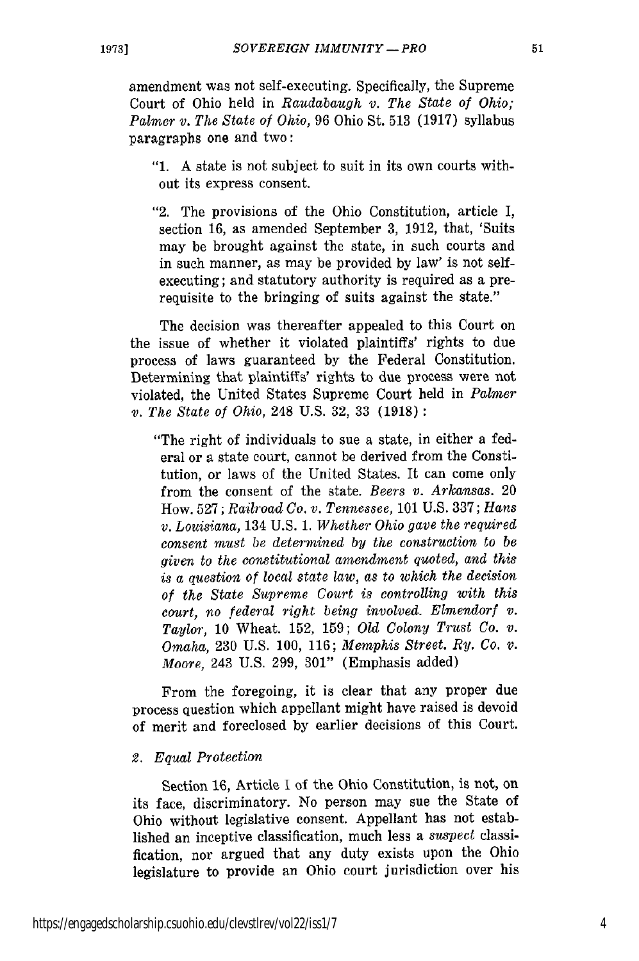amendment was not self-executing. Specifically, the Supreme Court of Ohio held in *Raudabaugh v. The State of Ohio; Palmer v. The State of Ohio,* 96 Ohio St. 513 (1917) syllabus paragraphs one and two:

- *"1.* A state is not subject to suit in its own courts without its express consent.
- "2. The provisions of the Ohio Constitution, article I, section 16, as amended September 3, 1912, that, 'Suits may be brought against the state, in such courts and in such manner, as may be provided by law' is not selfexecuting; and statutory authority is required as a prerequisite to the bringing of suits against the state."

The decision was thereafter appealed to this Court on the issue of whether it violated plaintiffs' rights to due process of laws guaranteed by the Federal Constitution. Determining that plaintiffs' rights to due process were not violated, the United States Supreme Court held in *Palmer v. The State of Ohio,* 248 U.S. 32, 33 (1918) **:**

"The right of individuals to sue a state, in either a federal or a state court, cannot be derived from the Constitution, or laws of the United States. It can come only from the consent of the state. *Beers v. Arkansas.* 20 How. 527; *Railroad Co. v. Tennessee,* 101 **U.S. 337;** *Hans v. Louisiana,* 134 U.S. 1. *Whether Ohio gave the required consent must be determined* **by** *the construction to be given to the constitutional amendment quoted, and this is a question of local state law, as to which the decision of the State Supreme Court is controlling with this court, no federal right being involved. Elmendorf* v. *Taylor,* 10 Wheat. 152, 159; *Old Colony Trust Co. v. Omaha,* 230 U.S. 100, 116; *Memphis Street. Ry. Co. v. Moore,* 243 U.S. 299, 301" (Emphasis added)

From the foregoing, it is clear that any proper due process question which appellant might have raised is devoid of merit and foreclosed by earlier decisions of this Court.

#### *2. Equal Protection*

Section **16,** Article **I** of the Ohio Constitution, is not, on its face, discriminatory. No person may sue the State of Ohio without legislative consent. Appellant has not established an inceptive classification, much less a *suspect* classification, nor argued that any duty exists upon the Ohio legislature to provide an Ohio court jurisdiction over his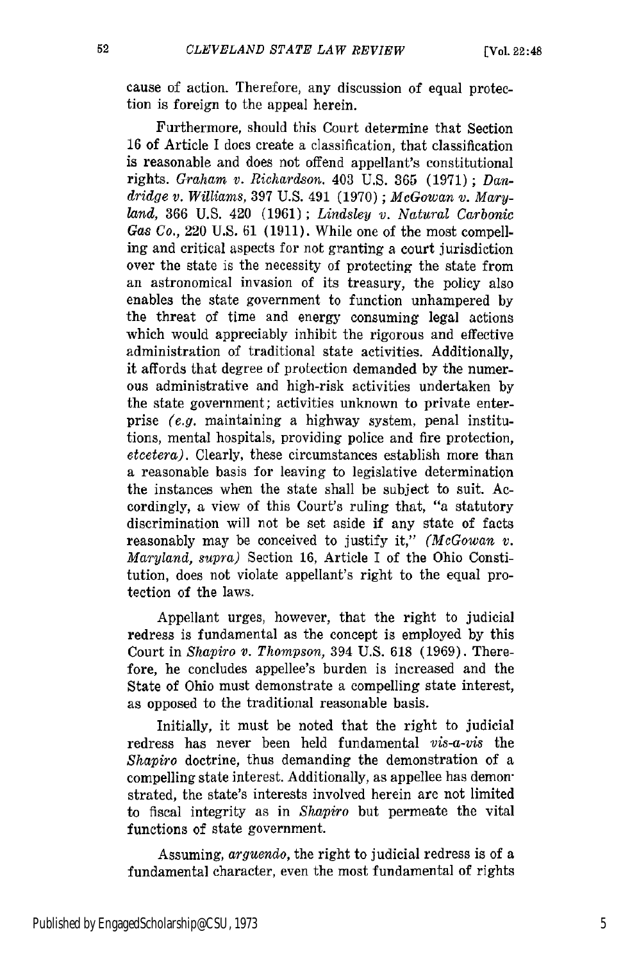cause of action. Therefore, any discussion of equal protection is foreign to the appeal herein.

Furthermore, should this Court determine that Section 16 of Article I does create a classification, that classification is reasonable and does not offend appellant's constitutional rights. *Graham v. Richardson.* 403 U.S. 365 (1971) ; *Dandridge v. Williams,* 397 U.S. 491 (1970) ; *McGowan v. Maryland,* 366 U.S. 420 (1961); *Lindsley v. Natural Carbonic Gas Co.,* 220 U.S. 61 (1911). While one of the most compelling and critical aspects for not granting a court jurisdiction over the state is the necessity of protecting the state from an astronomical invasion of its treasury, the policy also enables the state government to function unhampered by the threat of time and energy consuming legal actions which would appreciably inhibit the rigorous and effective administration of traditional state activities. Additionally, it affords that degree of protection demanded by the numerous administrative and high-risk activities undertaken by the state government; activities unknown to private enterprise *(e.g.* maintaining a highway system, penal institutions, mental hospitals, providing police and fire protection, *etcetera).* Clearly, these circumstances establish more than a reasonable basis for leaving to legislative determination the instances when the state shall be subject to suit. Accordingly, a view of this Court's ruling that, "a statutory discrimination will not be set aside if any state of facts reasonably may be conceived to justify it," *(McGowan v. Maryland, supra)* Section 16, Article I of the Ohio Constitution, does not violate appellant's right to the equal protection of the laws.

Appellant urges, however, that the right to judicial redress is fundamental as the concept is employed by this Court in *Shapiro v. Thompson*, 394 U.S. 618 (1969). Therefore, he concludes appellee's burden is increased and the State of Ohio must demonstrate a compelling state interest, as opposed to the traditional reasonable basis.

Initially, it must be noted that the right to judicial redress has never been held fundamental *vis-a-vis* the *Shapiro* doctrine, thus demanding the demonstration of a compelling state interest. Additionally, as appellee has demonstrated, the state's interests involved herein are not limited to fiscal integrity as in *Shapiro* but permeate the vital functions of state government.

Assuming, *arguendo,* the right to judicial redress is of a fundamental character, even the most fundamental of rights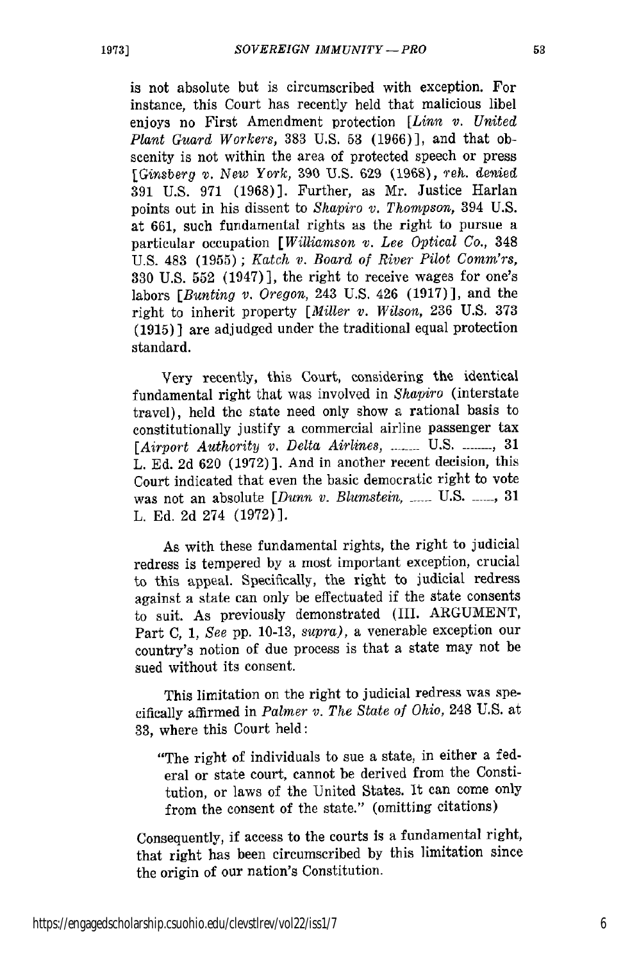is not absolute but is circumscribed with exception. For instance, this Court has recently held that malicious libel enjoys no First Amendment protection *[Linn v. United Plant Guard Workers,* 383 U.S. 53 (1966)], and that obscenity is not within the area of protected speech or press [Ginsberg *'v. New* York, 390 U.S. **629** (1969), *Teh.* denied 391 U.S. 971 (1968)]. Further, as Mr. Justice Harlan points out in his dissent to *Shapiro v. Thompson,* 394 U.S. at 661, such fundamental rights as the right to pursue a particular occupation *[Williamson v. Lee Optical Co.,* 348 U.S. 483 (1955) ; *Katch v. Board of River Pilot Comm'rs,* 330 U.S. 552 (1947)], the right to receive wages for one's labors *[Bunting v. Oregon,* 243 U.S. 426 (1917)], and the right to inherit property *[Miller v. Wilson,* 236 U.S. 373 (1915) **]** are adjudged under the traditional equal protection standard.

Very recently, this Court, considering the identical fundamental right that was involved in *Shapiro* (interstate travel), held the state need only show a rational basis to constitutionally justify a commercial airline passenger tax *[Airport Authority v. Delta Airlines, .* **-----** U.S -..... , 31 L. Ed. 2d 620 (1972)]. And in another recent decision, this Court indicated that even the basic democratic right to vote was not an absolute [Dunn v. Blumstein, ...... U.S. ......, 31 L. Ed. 2d 274 (1972)].

As with these fundamental rights, the right to judicial redress is tempered by a most important exception, crucial to this appeal. Specifically, the right to judicial redress against a state can only be effectuated if the state consents to suit. As previously demonstrated (II1. ARGUMENT, Part C, *1, See* pp. 10-13, *supra),* a venerable exception our country's notion of due process is that a state may not be sued without its consent.

This limitation on the right to judicial redress was specifically affirmed in *Palmer v. The State of Ohio,* 248 U.S. at 33, where this Court held:

"The right of individuals to sue a state, in either a federal or state court, cannot be derived from the Constitution, or laws of the United States. it can come only from the consent of the state." (omitting citations)

Consequently, if access to the courts is a fundamental right, that right has been circumscribed by this limitation since the origin of our nation's Constitution.